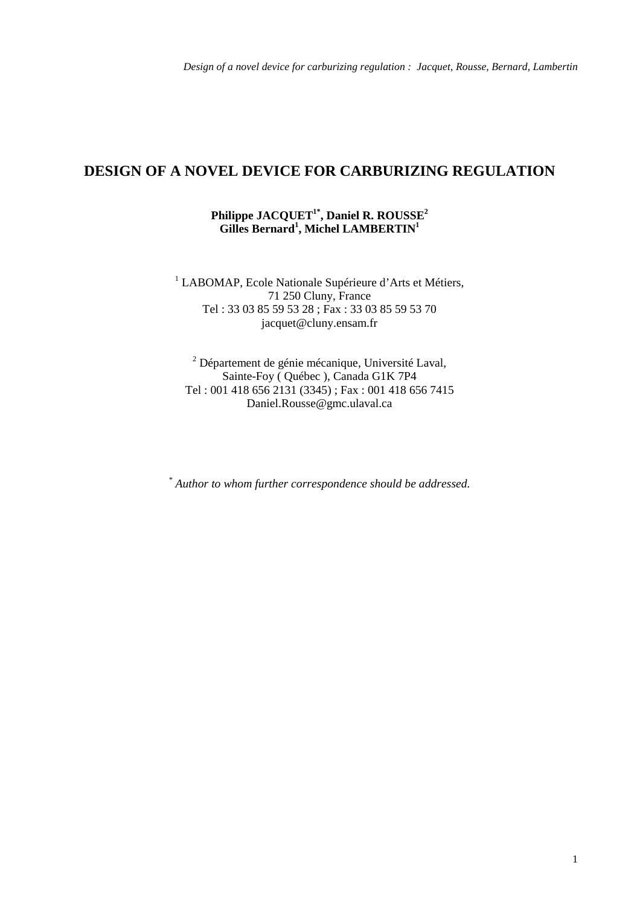# **DESIGN OF A NOVEL DEVICE FOR CARBURIZING REGULATION**

## **Philippe JACQUET1\*, Daniel R. ROUSSE2** Gilles Bernard<sup>1</sup>, Michel LAMBERTIN<sup>1</sup>

<sup>1</sup> LABOMAP, Ecole Nationale Supérieure d'Arts et Métiers, 71 250 Cluny, France Tel : 33 03 85 59 53 28 ; Fax : 33 03 85 59 53 70 jacquet@cluny.ensam.fr

<sup>2</sup> Département de génie mécanique, Université Laval, Sainte-Foy ( Québec ), Canada G1K 7P4 Tel : 001 418 656 2131 (3345) ; Fax : 001 418 656 7415 Daniel.Rousse@gmc.ulaval.ca

*\* Author to whom further correspondence should be addressed.*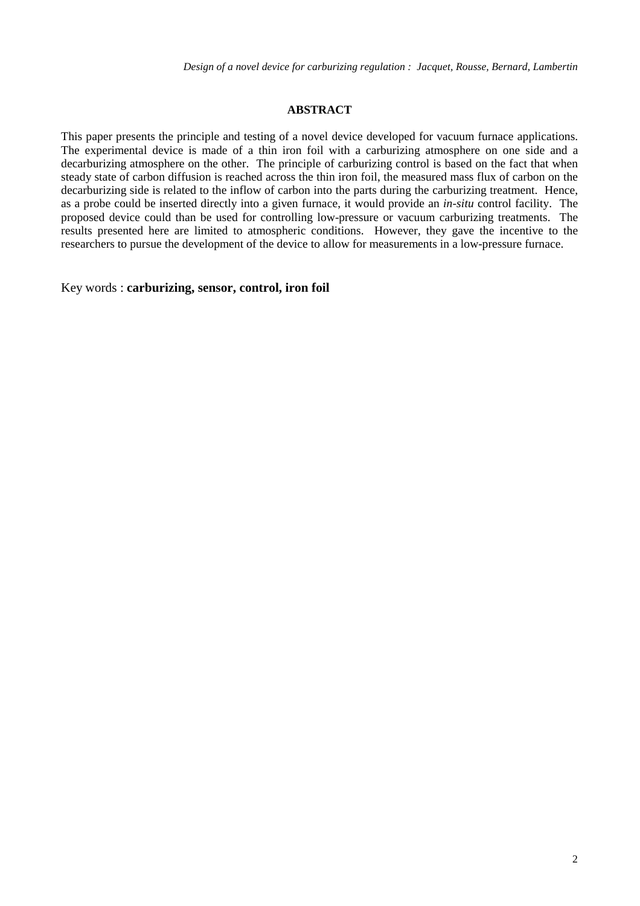## **ABSTRACT**

This paper presents the principle and testing of a novel device developed for vacuum furnace applications. The experimental device is made of a thin iron foil with a carburizing atmosphere on one side and a decarburizing atmosphere on the other. The principle of carburizing control is based on the fact that when steady state of carbon diffusion is reached across the thin iron foil, the measured mass flux of carbon on the decarburizing side is related to the inflow of carbon into the parts during the carburizing treatment. Hence, as a probe could be inserted directly into a given furnace, it would provide an *in-situ* control facility. The proposed device could than be used for controlling low-pressure or vacuum carburizing treatments. The results presented here are limited to atmospheric conditions. However, they gave the incentive to the researchers to pursue the development of the device to allow for measurements in a low-pressure furnace.

Key words : **carburizing, sensor, control, iron foil**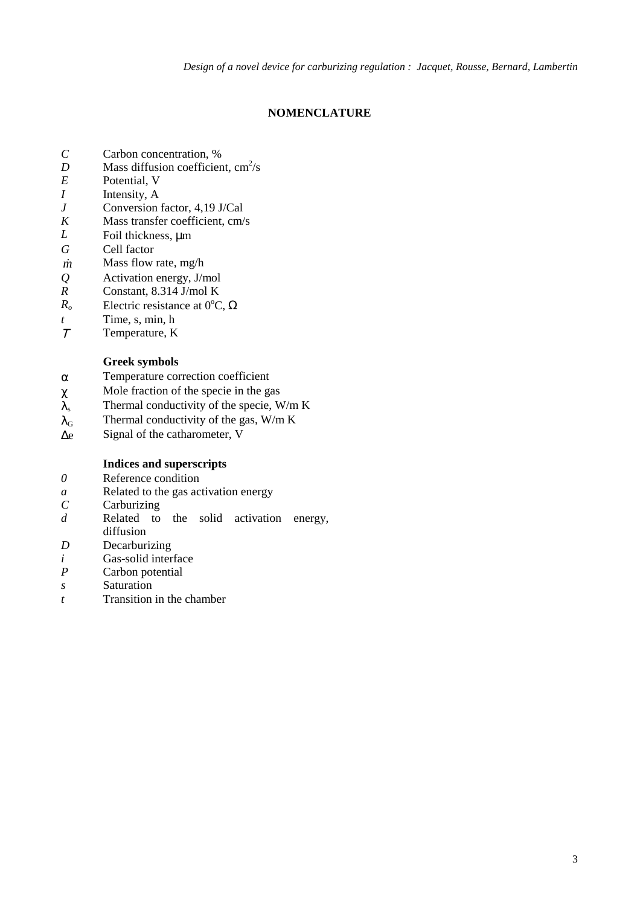## **NOMENCLATURE**

- *C* Carbon concentration, %
- *D* Mass diffusion coefficient,  $\text{cm}^2/\text{s}$
- *E* Potential, V
- *I* Intensity, A
- *J* Conversion factor, 4,19 J/Cal
- *K* Mass transfer coefficient, cm/s
- *L* Foil thickness, μm
- *G* Cell factor
- *m* Mass flow rate, mg/h
- *Q* Activation energy, J/mol
- *R* Constant, 8.314 J/mol K
- $R_o$  Electric resistance at 0<sup>o</sup>C,  $\Omega$
- *t* Time, s, min, h
- <sup>Τ</sup> Temperature, K

## **Greek symbols**

- α Temperature correction coefficient
- $\chi$  Mole fraction of the specie in the gas
- $\lambda_s$  Thermal conductivity of the specie, W/m K
- $\lambda_G$  Thermal conductivity of the gas, W/m K
- ∆e Signal of the catharometer, V

## **Indices and superscripts**

- *0* Reference condition
- *a* Related to the gas activation energy
- *C* Carburizing
- *d* Related to the solid activation energy,
- diffusion
- *D* Decarburizing
- *i* Gas-solid interface<br> *P* Carbon potential
- Carbon potential
- *s* Saturation
- *t* Transition in the chamber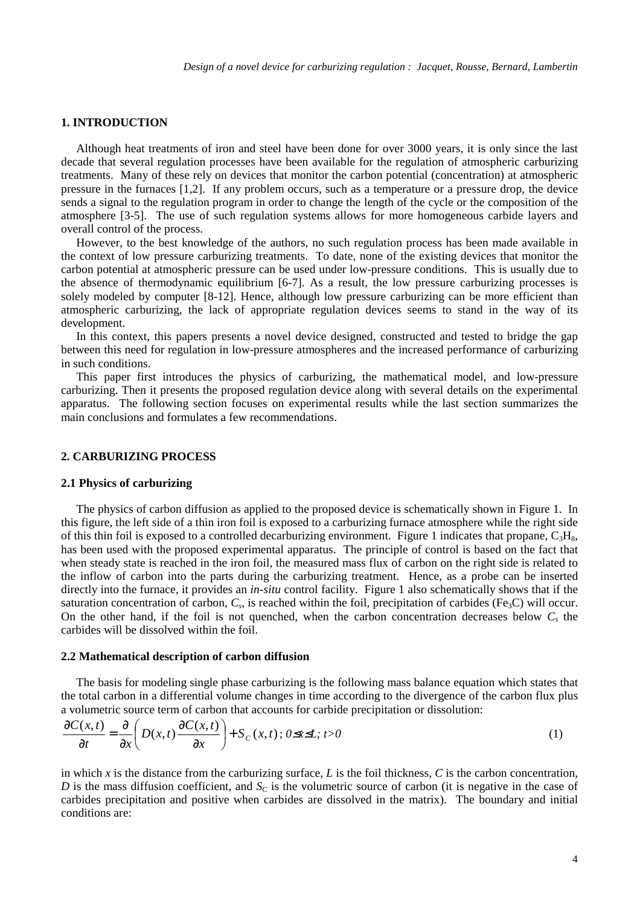## **1. INTRODUCTION**

Although heat treatments of iron and steel have been done for over 3000 years, it is only since the last decade that several regulation processes have been available for the regulation of atmospheric carburizing treatments. Many of these rely on devices that monitor the carbon potential (concentration) at atmospheric pressure in the furnaces [1,2]. If any problem occurs, such as a temperature or a pressure drop, the device sends a signal to the regulation program in order to change the length of the cycle or the composition of the atmosphere [3-5]. The use of such regulation systems allows for more homogeneous carbide layers and overall control of the process.

However, to the best knowledge of the authors, no such regulation process has been made available in the context of low pressure carburizing treatments. To date, none of the existing devices that monitor the carbon potential at atmospheric pressure can be used under low-pressure conditions. This is usually due to the absence of thermodynamic equilibrium [6-7]. As a result, the low pressure carburizing processes is solely modeled by computer [8-12]. Hence, although low pressure carburizing can be more efficient than atmospheric carburizing, the lack of appropriate regulation devices seems to stand in the way of its development.

In this context, this papers presents a novel device designed, constructed and tested to bridge the gap between this need for regulation in low-pressure atmospheres and the increased performance of carburizing in such conditions.

This paper first introduces the physics of carburizing, the mathematical model, and low-pressure carburizing. Then it presents the proposed regulation device along with several details on the experimental apparatus. The following section focuses on experimental results while the last section summarizes the main conclusions and formulates a few recommendations.

### **2. CARBURIZING PROCESS**

#### **2.1 Physics of carburizing**

The physics of carbon diffusion as applied to the proposed device is schematically shown in Figure 1. In this figure, the left side of a thin iron foil is exposed to a carburizing furnace atmosphere while the right side of this thin foil is exposed to a controlled decarburizing environment. Figure 1 indicates that propane,  $C_3H_8$ , has been used with the proposed experimental apparatus. The principle of control is based on the fact that when steady state is reached in the iron foil, the measured mass flux of carbon on the right side is related to the inflow of carbon into the parts during the carburizing treatment. Hence, as a probe can be inserted directly into the furnace, it provides an *in-situ* control facility. Figure 1 also schematically shows that if the saturation concentration of carbon,  $C_s$ , is reached within the foil, precipitation of carbides (Fe<sub>3</sub>C) will occur. On the other hand, if the foil is not quenched, when the carbon concentration decreases below  $C_s$  the carbides will be dissolved within the foil.

### **2.2 Mathematical description of carbon diffusion**

The basis for modeling single phase carburizing is the following mass balance equation which states that the total carbon in a differential volume changes in time according to the divergence of the carbon flux plus a volumetric source term of carbon that accounts for carbide precipitation or dissolution:

$$
\frac{\partial C(x,t)}{\partial t} = \frac{\partial}{\partial x} \left( D(x,t) \frac{\partial C(x,t)}{\partial x} \right) + S_C(x,t); 0 \le x \le L; t > 0
$$
\n(1)

in which *x* is the distance from the carburizing surface, *L* is the foil thickness, *C* is the carbon concentration, *D* is the mass diffusion coefficient, and  $S<sub>C</sub>$  is the volumetric source of carbon (it is negative in the case of carbides precipitation and positive when carbides are dissolved in the matrix). The boundary and initial conditions are: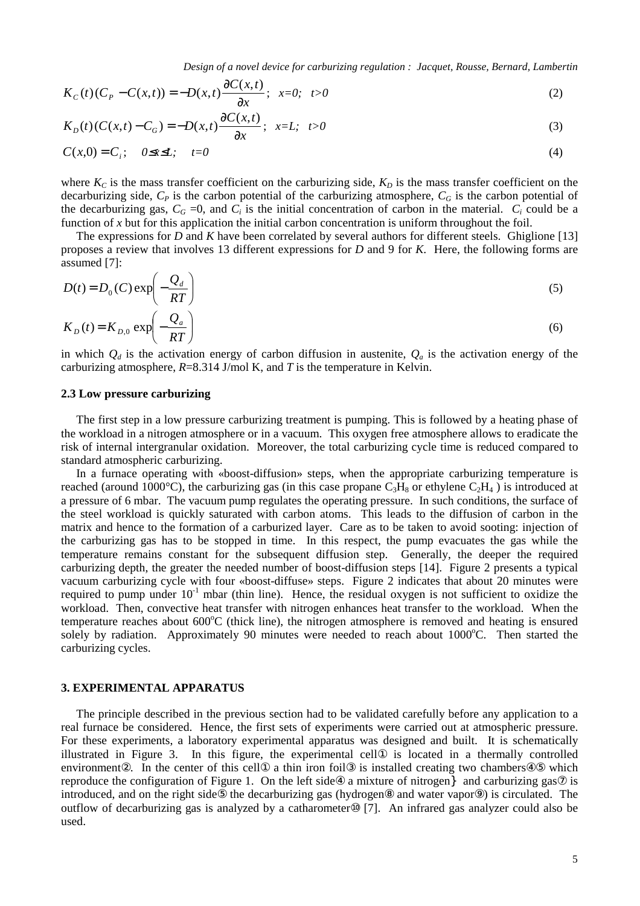*Design of a novel device for carburizing regulation : Jacquet, Rousse, Bernard, Lambertin*

$$
K_C(t)(C_p - C(x,t)) = -D(x,t)\frac{\partial C(x,t)}{\partial x}; \ \ x=0; \ \ t>0
$$
 (2)

$$
K_D(t)(C(x,t) - C_G) = -D(x,t)\frac{\partial C(x,t)}{\partial x}; \quad x = L; \quad t > 0
$$
\n
$$
(3)
$$

$$
C(x,0) = C_i; \quad 0 \le x \le L; \quad t=0
$$
 (4)

where  $K_C$  is the mass transfer coefficient on the carburizing side,  $K_D$  is the mass transfer coefficient on the decarburizing side,  $C_P$  is the carbon potential of the carburizing atmosphere,  $C_G$  is the carbon potential of the decarburizing gas,  $C_G = 0$ , and  $C_i$  is the initial concentration of carbon in the material.  $C_i$  could be a function of *x* but for this application the initial carbon concentration is uniform throughout the foil.

The expressions for *D* and *K* have been correlated by several authors for different steels. Ghiglione [13] proposes a review that involves 13 different expressions for *D* and 9 for *K*. Here, the following forms are assumed [7]:

$$
D(t) = D_0(C) \exp\left(-\frac{Q_d}{RT}\right)
$$
\n
$$
K_D(t) = K_{D,0} \exp\left(-\frac{Q_a}{RT}\right)
$$
\n(6)

in which  $Q_d$  is the activation energy of carbon diffusion in austenite,  $Q_a$  is the activation energy of the carburizing atmosphere, *R*=8.314 J/mol K, and *T* is the temperature in Kelvin.

## **2.3 Low pressure carburizing**

-

The first step in a low pressure carburizing treatment is pumping. This is followed by a heating phase of the workload in a nitrogen atmosphere or in a vacuum. This oxygen free atmosphere allows to eradicate the risk of internal intergranular oxidation. Moreover, the total carburizing cycle time is reduced compared to standard atmospheric carburizing.

In a furnace operating with «boost-diffusion» steps, when the appropriate carburizing temperature is reached (around 1000°C), the carburizing gas (in this case propane  $C_3H_8$  or ethylene  $C_2H_4$ ) is introduced at a pressure of 6 mbar. The vacuum pump regulates the operating pressure. In such conditions, the surface of the steel workload is quickly saturated with carbon atoms. This leads to the diffusion of carbon in the matrix and hence to the formation of a carburized layer. Care as to be taken to avoid sooting: injection of the carburizing gas has to be stopped in time. In this respect, the pump evacuates the gas while the temperature remains constant for the subsequent diffusion step. Generally, the deeper the required carburizing depth, the greater the needed number of boost-diffusion steps [14]. Figure 2 presents a typical vacuum carburizing cycle with four «boost-diffuse» steps. Figure 2 indicates that about 20 minutes were required to pump under  $10^{-1}$  mbar (thin line). Hence, the residual oxygen is not sufficient to oxidize the workload. Then, convective heat transfer with nitrogen enhances heat transfer to the workload. When the temperature reaches about 600°C (thick line), the nitrogen atmosphere is removed and heating is ensured solely by radiation. Approximately 90 minutes were needed to reach about 1000°C. Then started the carburizing cycles.

#### **3. EXPERIMENTAL APPARATUS**

The principle described in the previous section had to be validated carefully before any application to a real furnace be considered. Hence, the first sets of experiments were carried out at atmospheric pressure. For these experiments, a laboratory experimental apparatus was designed and built. It is schematically illustrated in Figure 3. In this figure, the experimental cell① is located in a thermally controlled environment②. In the center of this cell① a thin iron foil③ is installed creating two chambers④⑤ which reproduce the configuration of Figure 1. On the left side $\circ$  a mixture of nitrogen and carburizing gas $\circ$  is introduced, and on the right side⑤ the decarburizing gas (hydrogen⑧ and water vapor⑨) is circulated. The outflow of decarburizing gas is analyzed by a catharometer⑩ [7]. An infrared gas analyzer could also be used.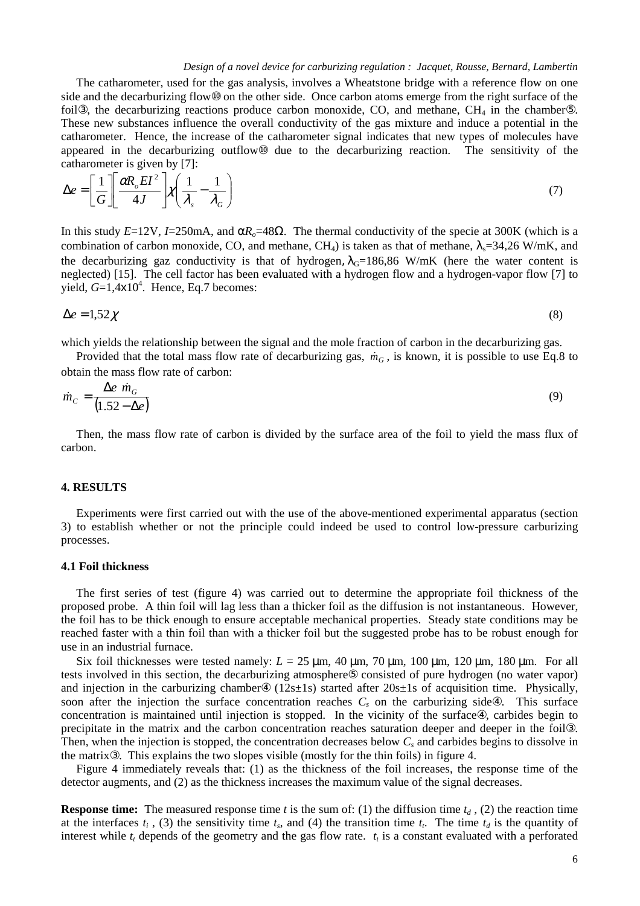#### *Design of a novel device for carburizing regulation : Jacquet, Rousse, Bernard, Lambertin*

The catharometer, used for the gas analysis, involves a Wheatstone bridge with a reference flow on one side and the decarburizing flow<sup>®</sup> on the other side. Once carbon atoms emerge from the right surface of the foil<sup>3</sup>), the decarburizing reactions produce carbon monoxide, CO, and methane, CH<sub>4</sub> in the chamber<sup>®</sup>. These new substances influence the overall conductivity of the gas mixture and induce a potential in the catharometer. Hence, the increase of the catharometer signal indicates that new types of molecules have appeared in the decarburizing outflow⑩ due to the decarburizing reaction. The sensitivity of the catharometer is given by [7]:

$$
\Delta e = \left[\frac{1}{G}\right] \left[\frac{\alpha R_o E I^2}{4J}\right] \chi \left(\frac{1}{\lambda_s} - \frac{1}{\lambda_G}\right) \tag{7}
$$

In this study  $E=12V$ ,  $I=250$ mA, and  $\alpha R_0=48\Omega$ . The thermal conductivity of the specie at 300K (which is a combination of carbon monoxide, CO, and methane, CH<sub>4</sub>) is taken as that of methane,  $\lambda_s = 34,26$  W/mK, and the decarburizing gaz conductivity is that of hydrogen,  $\lambda$ <sup>G=186,86</sup> W/mK (here the water content is neglected) [15]. The cell factor has been evaluated with a hydrogen flow and a hydrogen-vapor flow [7] to yield,  $G=1,4\times10^4$ . Hence, Eq.7 becomes:

$$
\Delta e = 1.52 \chi \tag{8}
$$

which yields the relationship between the signal and the mole fraction of carbon in the decarburizing gas.

Provided that the total mass flow rate of decarburizing gas,  $\dot{m}_G$ , is known, it is possible to use Eq.8 to obtain the mass flow rate of carbon:

$$
\dot{m}_c = \frac{\Delta e \dot{m}_c}{(1.52 - \Delta e)}\tag{9}
$$

Then, the mass flow rate of carbon is divided by the surface area of the foil to yield the mass flux of carbon.

### **4. RESULTS**

Experiments were first carried out with the use of the above-mentioned experimental apparatus (section 3) to establish whether or not the principle could indeed be used to control low-pressure carburizing processes.

#### **4.1 Foil thickness**

The first series of test (figure 4) was carried out to determine the appropriate foil thickness of the proposed probe. A thin foil will lag less than a thicker foil as the diffusion is not instantaneous. However, the foil has to be thick enough to ensure acceptable mechanical properties. Steady state conditions may be reached faster with a thin foil than with a thicker foil but the suggested probe has to be robust enough for use in an industrial furnace.

Six foil thicknesses were tested namely:  $L = 25 \mu m$ , 40  $\mu m$ , 70  $\mu m$ , 100  $\mu m$ , 120  $\mu m$ , 180  $\mu m$ . For all tests involved in this section, the decarburizing atmosphere⑤ consisted of pure hydrogen (no water vapor) and injection in the carburizing chamber $\circled{4}$  (12s±1s) started after 20s±1s of acquisition time. Physically, soon after the injection the surface concentration reaches  $C_s$  on the carburizing side $\circled{4}$ . This surface concentration is maintained until injection is stopped. In the vicinity of the surface. carbides begin to precipitate in the matrix and the carbon concentration reaches saturation deeper and deeper in the foil③. Then, when the injection is stopped, the concentration decreases below  $C_s$  and carbides begins to dissolve in the matrix③. This explains the two slopes visible (mostly for the thin foils) in figure 4.

Figure 4 immediately reveals that: (1) as the thickness of the foil increases, the response time of the detector augments, and (2) as the thickness increases the maximum value of the signal decreases.

**Response time:** The measured response time *t* is the sum of: (1) the diffusion time  $t_d$ , (2) the reaction time at the interfaces  $t_i$ , (3) the sensitivity time  $t_s$ , and (4) the transition time  $t_t$ . The time  $t_d$  is the quantity of interest while  $t_t$  depends of the geometry and the gas flow rate.  $t_t$  is a constant evaluated with a perforated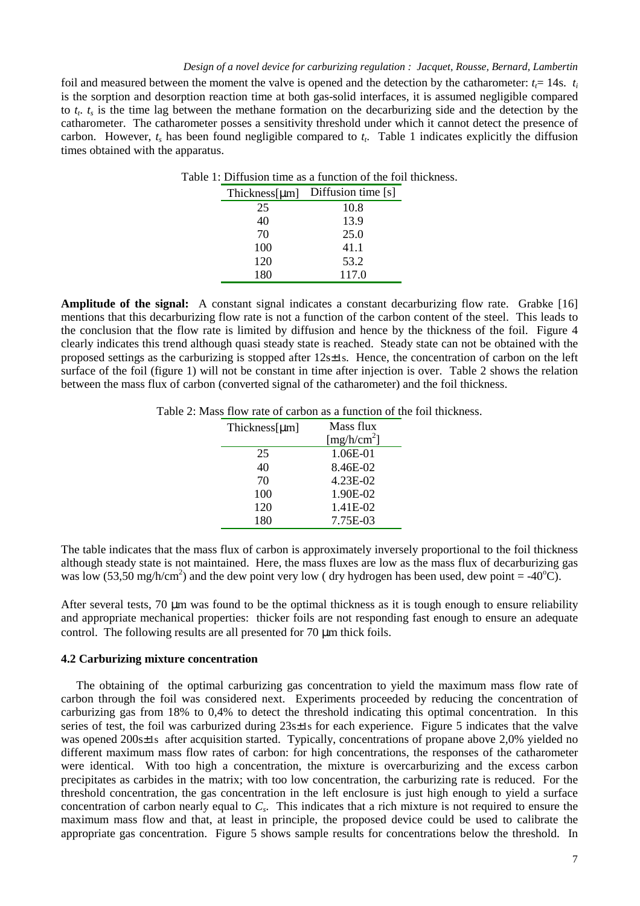#### *Design of a novel device for carburizing regulation : Jacquet, Rousse, Bernard, Lambertin*

foil and measured between the moment the valve is opened and the detection by the catharometer:  $t_f$  = 14s.  $t_i$ is the sorption and desorption reaction time at both gas-solid interfaces, it is assumed negligible compared to  $t_t$ ,  $t_s$  is the time lag between the methane formation on the decarburizing side and the detection by the catharometer. The catharometer posses a sensitivity threshold under which it cannot detect the presence of carbon. However,  $t_s$  has been found negligible compared to  $t_t$ . Table 1 indicates explicitly the diffusion times obtained with the apparatus.

| Thickness[µm] | Diffusion time [s] |
|---------------|--------------------|
| 25            | 10.8               |
| 40            | 13.9               |
| 70            | 25.0               |
| 100           | 41.1               |
| 120           | 53.2               |
| 180           | 117.0              |

Table 1: Diffusion time as a function of the foil thickness.

**Amplitude of the signal:** A constant signal indicates a constant decarburizing flow rate. Grabke [16] mentions that this decarburizing flow rate is not a function of the carbon content of the steel. This leads to the conclusion that the flow rate is limited by diffusion and hence by the thickness of the foil. Figure 4 clearly indicates this trend although quasi steady state is reached. Steady state can not be obtained with the proposed settings as the carburizing is stopped after 12s±1s. Hence, the concentration of carbon on the left surface of the foil (figure 1) will not be constant in time after injection is over. Table 2 shows the relation between the mass flux of carbon (converted signal of the catharometer) and the foil thickness.

Table 2: Mass flow rate of carbon as a function of the foil thickness.

| Thickness[µm] | Mass flux               |
|---------------|-------------------------|
|               | [mg/h/cm <sup>2</sup> ] |
| 25            | 1.06E-01                |
| 40            | 8.46E-02                |
| 70            | 4.23E-02                |
| 100           | 1.90E-02                |
| 120           | 1.41E-02                |
| 180           | 7.75E-03                |

The table indicates that the mass flux of carbon is approximately inversely proportional to the foil thickness although steady state is not maintained. Here, the mass fluxes are low as the mass flux of decarburizing gas was low (53,50 mg/h/cm<sup>2</sup>) and the dew point very low (dry hydrogen has been used, dew point = -40<sup>o</sup>C).

After several tests, 70  $\mu$ m was found to be the optimal thickness as it is tough enough to ensure reliability and appropriate mechanical properties: thicker foils are not responding fast enough to ensure an adequate control. The following results are all presented for 70  $\mu$ m thick foils.

#### **4.2 Carburizing mixture concentration**

The obtaining of the optimal carburizing gas concentration to yield the maximum mass flow rate of carbon through the foil was considered next. Experiments proceeded by reducing the concentration of carburizing gas from 18% to 0,4% to detect the threshold indicating this optimal concentration. In this series of test, the foil was carburized during  $23s\pm 1s$  for each experience. Figure 5 indicates that the valve was opened 200s±1s after acquisition started. Typically, concentrations of propane above 2,0% yielded no different maximum mass flow rates of carbon: for high concentrations, the responses of the catharometer were identical. With too high a concentration, the mixture is overcarburizing and the excess carbon precipitates as carbides in the matrix; with too low concentration, the carburizing rate is reduced. For the threshold concentration, the gas concentration in the left enclosure is just high enough to yield a surface concentration of carbon nearly equal to *Cs*. This indicates that a rich mixture is not required to ensure the maximum mass flow and that, at least in principle, the proposed device could be used to calibrate the appropriate gas concentration. Figure 5 shows sample results for concentrations below the threshold. In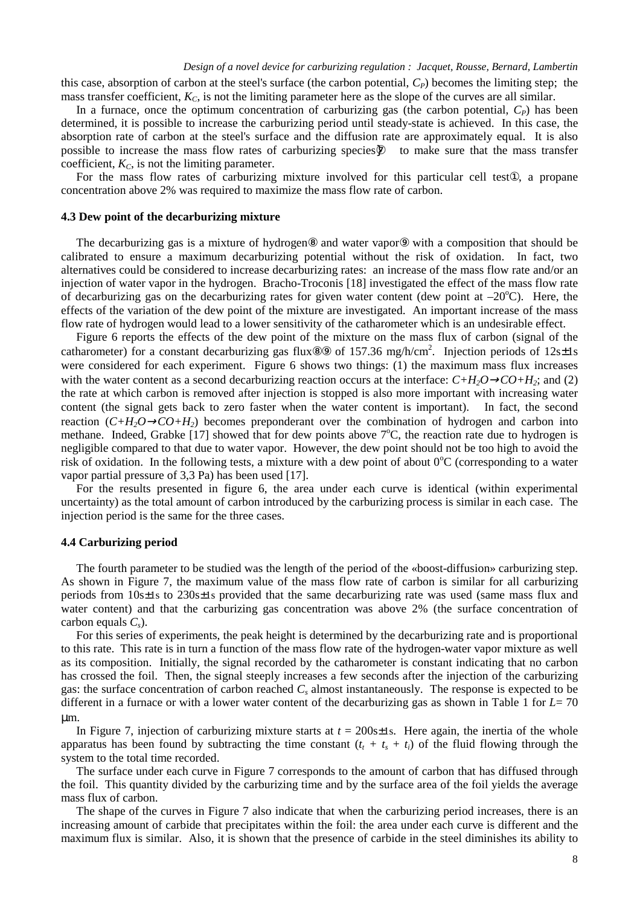this case, absorption of carbon at the steel's surface (the carbon potential,  $C_P$ ) becomes the limiting step; the mass transfer coefficient,  $K<sub>C</sub>$ , is not the limiting parameter here as the slope of the curves are all similar.

In a furnace, once the optimum concentration of carburizing gas (the carbon potential,  $C_P$ ) has been determined, it is possible to increase the carburizing period until steady-state is achieved. In this case, the absorption rate of carbon at the steel's surface and the diffusion rate are approximately equal. It is also possible to increase the mass flow rates of carburizing species  $\circled{2}$  to make sure that the mass transfer coefficient,  $K_C$ , is not the limiting parameter.

For the mass flow rates of carburizing mixture involved for this particular cell test①, a propane concentration above 2% was required to maximize the mass flow rate of carbon.

#### **4.3 Dew point of the decarburizing mixture**

The decarburizing gas is a mixture of hydrogen<sup>®</sup> and water vapor<sup>®</sup> with a composition that should be calibrated to ensure a maximum decarburizing potential without the risk of oxidation. In fact, two alternatives could be considered to increase decarburizing rates: an increase of the mass flow rate and/or an injection of water vapor in the hydrogen. Bracho-Troconis [18] investigated the effect of the mass flow rate of decarburizing gas on the decarburizing rates for given water content (dew point at  $-20^{\circ}$ C). Here, the effects of the variation of the dew point of the mixture are investigated. An important increase of the mass flow rate of hydrogen would lead to a lower sensitivity of the catharometer which is an undesirable effect.

Figure 6 reports the effects of the dew point of the mixture on the mass flux of carbon (signal of the catharometer) for a constant decarburizing gas flux®<sup>®</sup> of 157.36 mg/h/cm<sup>2</sup>. Injection periods of 12s±1s were considered for each experiment. Figure 6 shows two things: (1) the maximum mass flux increases with the water content as a second decarburizing reaction occurs at the interface:  $C+H_2O\rightarrow CO+H_2$ ; and (2) the rate at which carbon is removed after injection is stopped is also more important with increasing water content (the signal gets back to zero faster when the water content is important). In fact, the second reaction  $(C+H_2O \rightarrow CO+H_2)$  becomes preponderant over the combination of hydrogen and carbon into methane. Indeed, Grabke [17] showed that for dew points above 7°C, the reaction rate due to hydrogen is negligible compared to that due to water vapor. However, the dew point should not be too high to avoid the risk of oxidation. In the following tests, a mixture with a dew point of about  $0^{\circ}$ C (corresponding to a water vapor partial pressure of 3,3 Pa) has been used [17].

For the results presented in figure 6, the area under each curve is identical (within experimental uncertainty) as the total amount of carbon introduced by the carburizing process is similar in each case. The injection period is the same for the three cases.

#### **4.4 Carburizing period**

The fourth parameter to be studied was the length of the period of the «boost-diffusion» carburizing step. As shown in Figure 7, the maximum value of the mass flow rate of carbon is similar for all carburizing periods from 10s±1s to 230s±1s provided that the same decarburizing rate was used (same mass flux and water content) and that the carburizing gas concentration was above 2% (the surface concentration of carbon equals *Cs*).

For this series of experiments, the peak height is determined by the decarburizing rate and is proportional to this rate. This rate is in turn a function of the mass flow rate of the hydrogen-water vapor mixture as well as its composition. Initially, the signal recorded by the catharometer is constant indicating that no carbon has crossed the foil. Then, the signal steeply increases a few seconds after the injection of the carburizing gas: the surface concentration of carbon reached *Cs* almost instantaneously. The response is expected to be different in a furnace or with a lower water content of the decarburizing gas as shown in Table 1 for *L*= 70 µm.

In Figure 7, injection of carburizing mixture starts at  $t = 200s \pm 1s$ . Here again, the inertia of the whole apparatus has been found by subtracting the time constant  $(t_t + t_s + t_i)$  of the fluid flowing through the system to the total time recorded.

The surface under each curve in Figure 7 corresponds to the amount of carbon that has diffused through the foil. This quantity divided by the carburizing time and by the surface area of the foil yields the average mass flux of carbon.

The shape of the curves in Figure 7 also indicate that when the carburizing period increases, there is an increasing amount of carbide that precipitates within the foil: the area under each curve is different and the maximum flux is similar. Also, it is shown that the presence of carbide in the steel diminishes its ability to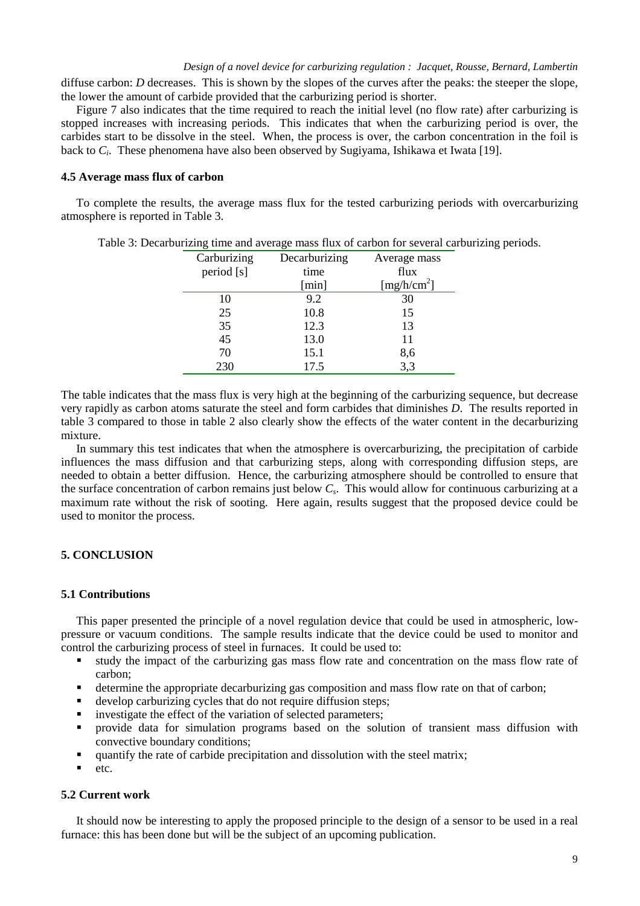diffuse carbon: *D* decreases. This is shown by the slopes of the curves after the peaks: the steeper the slope, the lower the amount of carbide provided that the carburizing period is shorter.

Figure 7 also indicates that the time required to reach the initial level (no flow rate) after carburizing is stopped increases with increasing periods. This indicates that when the carburizing period is over, the carbides start to be dissolve in the steel. When, the process is over, the carbon concentration in the foil is back to *Ci*. These phenomena have also been observed by Sugiyama, Ishikawa et Iwata [19].

## **4.5 Average mass flux of carbon**

To complete the results, the average mass flux for the tested carburizing periods with overcarburizing atmosphere is reported in Table 3.

| Carburizing | Decarburizing | Average mass            |
|-------------|---------------|-------------------------|
| period [s]  | time          | flux                    |
|             | [min]         | [mg/h/cm <sup>2</sup> ] |
| 10          | 9.2           | 30                      |
| 25          | 10.8          | 15                      |
| 35          | 12.3          | 13                      |
| 45          | 13.0          | 11                      |
| 70          | 15.1          | 8,6                     |
| 230         | 17.5          | 3,3                     |

Table 3: Decarburizing time and average mass flux of carbon for several carburizing periods.

The table indicates that the mass flux is very high at the beginning of the carburizing sequence, but decrease very rapidly as carbon atoms saturate the steel and form carbides that diminishes *D*. The results reported in table 3 compared to those in table 2 also clearly show the effects of the water content in the decarburizing mixture.

In summary this test indicates that when the atmosphere is overcarburizing, the precipitation of carbide influences the mass diffusion and that carburizing steps, along with corresponding diffusion steps, are needed to obtain a better diffusion. Hence, the carburizing atmosphere should be controlled to ensure that the surface concentration of carbon remains just below *Cs*. This would allow for continuous carburizing at a maximum rate without the risk of sooting. Here again, results suggest that the proposed device could be used to monitor the process.

### **5. CONCLUSION**

#### **5.1 Contributions**

This paper presented the principle of a novel regulation device that could be used in atmospheric, lowpressure or vacuum conditions. The sample results indicate that the device could be used to monitor and control the carburizing process of steel in furnaces. It could be used to:

- study the impact of the carburizing gas mass flow rate and concentration on the mass flow rate of carbon;
- determine the appropriate decarburizing gas composition and mass flow rate on that of carbon;
- develop carburizing cycles that do not require diffusion steps;
- **investigate the effect of the variation of selected parameters;**
- provide data for simulation programs based on the solution of transient mass diffusion with convective boundary conditions;
- quantify the rate of carbide precipitation and dissolution with the steel matrix;
- etc.

### **5.2 Current work**

It should now be interesting to apply the proposed principle to the design of a sensor to be used in a real furnace: this has been done but will be the subject of an upcoming publication.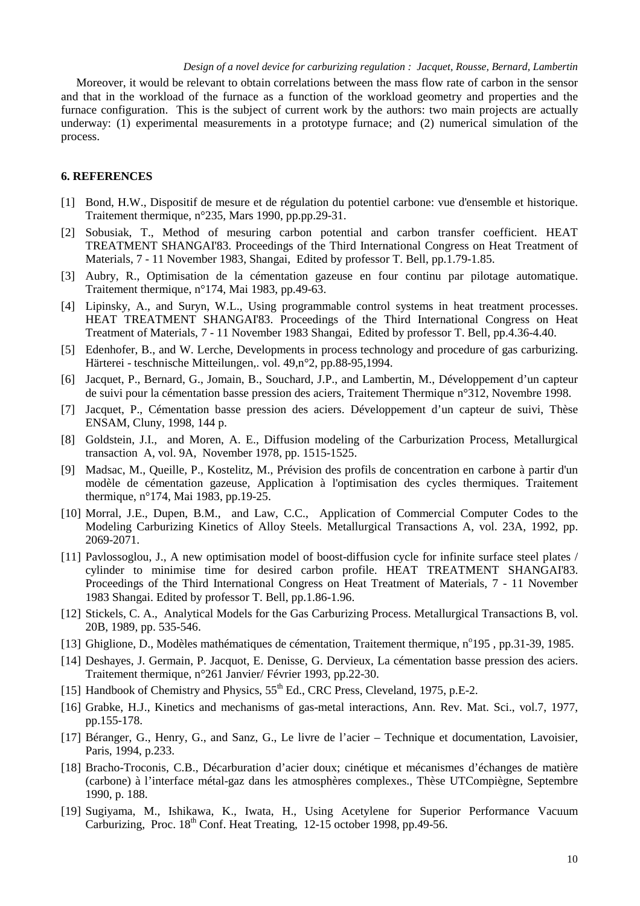Moreover, it would be relevant to obtain correlations between the mass flow rate of carbon in the sensor and that in the workload of the furnace as a function of the workload geometry and properties and the furnace configuration. This is the subject of current work by the authors: two main projects are actually underway: (1) experimental measurements in a prototype furnace; and (2) numerical simulation of the process.

## **6. REFERENCES**

- [1] Bond, H.W., Dispositif de mesure et de régulation du potentiel carbone: vue d'ensemble et historique. Traitement thermique, n°235, Mars 1990, pp.pp.29-31.
- [2] Sobusiak, T., Method of mesuring carbon potential and carbon transfer coefficient. HEAT TREATMENT SHANGAI'83. Proceedings of the Third International Congress on Heat Treatment of Materials, 7 - 11 November 1983, Shangai, Edited by professor T. Bell, pp.1.79-1.85.
- [3] Aubry, R., Optimisation de la cémentation gazeuse en four continu par pilotage automatique. Traitement thermique, n°174, Mai 1983, pp.49-63.
- [4] Lipinsky, A., and Suryn, W.L., Using programmable control systems in heat treatment processes. HEAT TREATMENT SHANGAI'83. Proceedings of the Third International Congress on Heat Treatment of Materials, 7 - 11 November 1983 Shangai, Edited by professor T. Bell, pp.4.36-4.40.
- [5] Edenhofer, B., and W. Lerche, Developments in process technology and procedure of gas carburizing. Härterei - teschnische Mitteilungen,. vol. 49,n°2, pp.88-95,1994.
- [6] Jacquet, P., Bernard, G., Jomain, B., Souchard, J.P., and Lambertin, M., Développement d'un capteur de suivi pour la cémentation basse pression des aciers, Traitement Thermique n°312, Novembre 1998.
- [7] Jacquet, P., Cémentation basse pression des aciers. Développement d'un capteur de suivi, Thèse ENSAM, Cluny, 1998, 144 p.
- [8] Goldstein, J.I., and Moren, A. E., Diffusion modeling of the Carburization Process, Metallurgical transaction A, vol. 9A, November 1978, pp. 1515-1525.
- [9] Madsac, M., Queille, P., Kostelitz, M., Prévision des profils de concentration en carbone à partir d'un modèle de cémentation gazeuse, Application à l'optimisation des cycles thermiques. Traitement thermique, n°174, Mai 1983, pp.19-25.
- [10] Morral, J.E., Dupen, B.M., and Law, C.C., Application of Commercial Computer Codes to the Modeling Carburizing Kinetics of Alloy Steels. Metallurgical Transactions A, vol. 23A, 1992, pp. 2069-2071.
- [11] Pavlossoglou, J., A new optimisation model of boost-diffusion cycle for infinite surface steel plates / cylinder to minimise time for desired carbon profile. HEAT TREATMENT SHANGAI'83. Proceedings of the Third International Congress on Heat Treatment of Materials, 7 - 11 November 1983 Shangai. Edited by professor T. Bell, pp.1.86-1.96.
- [12] Stickels, C. A., Analytical Models for the Gas Carburizing Process. Metallurgical Transactions B, vol. 20B, 1989, pp. 535-546.
- [13] Ghiglione, D., Modèles mathématiques de cémentation, Traitement thermique, n°195, pp.31-39, 1985.
- [14] Deshayes, J. Germain, P. Jacquot, E. Denisse, G. Dervieux, La cémentation basse pression des aciers. Traitement thermique, n°261 Janvier/ Février 1993, pp.22-30.
- [15] Handbook of Chemistry and Physics,  $55^{th}$  Ed., CRC Press, Cleveland, 1975, p.E-2.
- [16] Grabke, H.J., Kinetics and mechanisms of gas-metal interactions, Ann. Rev. Mat. Sci., vol.7, 1977, pp.155-178.
- [17] Béranger, G., Henry, G., and Sanz, G., Le livre de l'acier Technique et documentation, Lavoisier, Paris, 1994, p.233.
- [18] Bracho-Troconis, C.B., Décarburation d'acier doux; cinétique et mécanismes d'échanges de matière (carbone) à l'interface métal-gaz dans les atmosphères complexes., Thèse UTCompiègne, Septembre 1990, p. 188.
- [19] Sugiyama, M., Ishikawa, K., Iwata, H., Using Acetylene for Superior Performance Vacuum Carburizing, Proc.  $18^{th}$  Conf. Heat Treating, 12-15 october 1998, pp.49-56.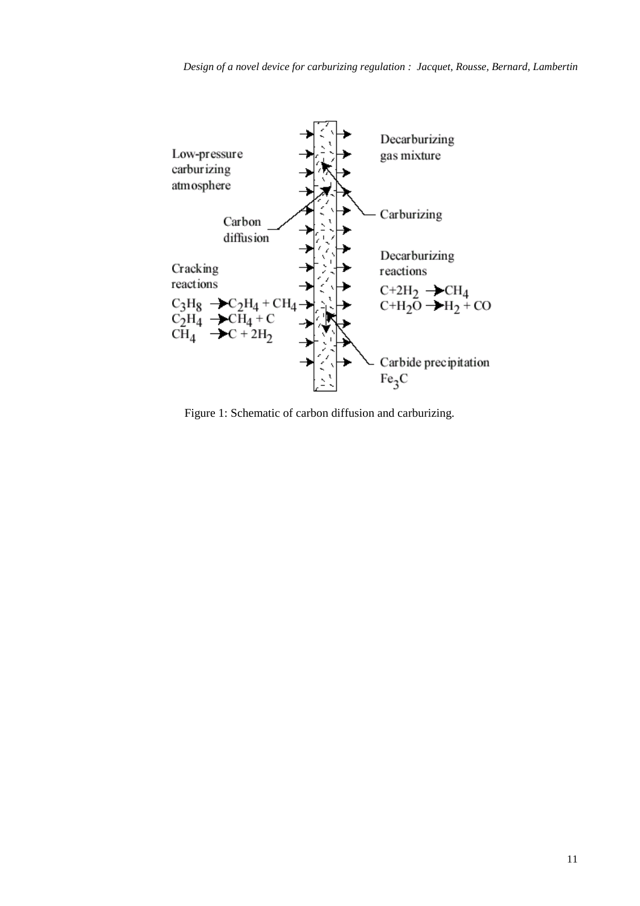

Figure 1: Schematic of carbon diffusion and carburizing.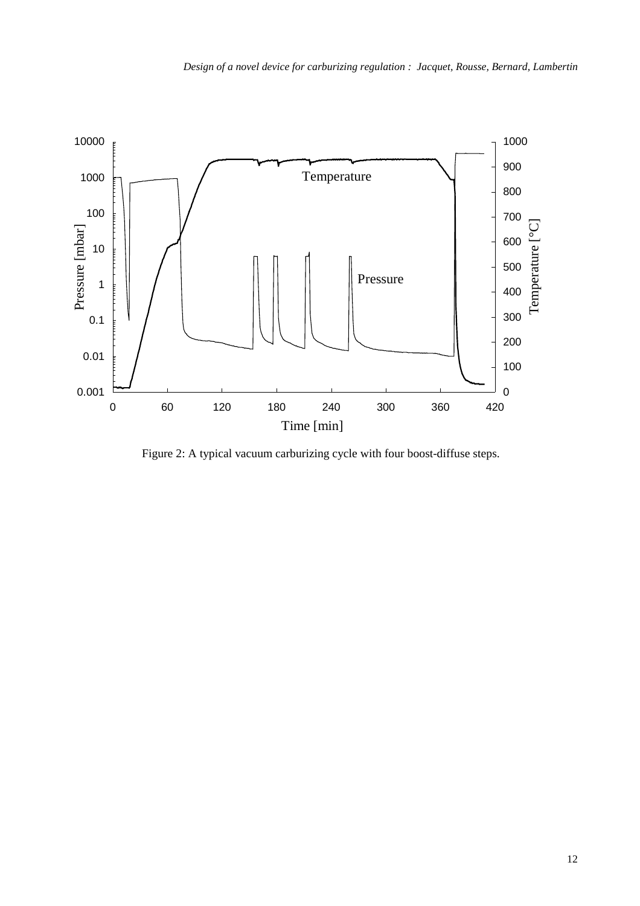

Figure 2: A typical vacuum carburizing cycle with four boost-diffuse steps.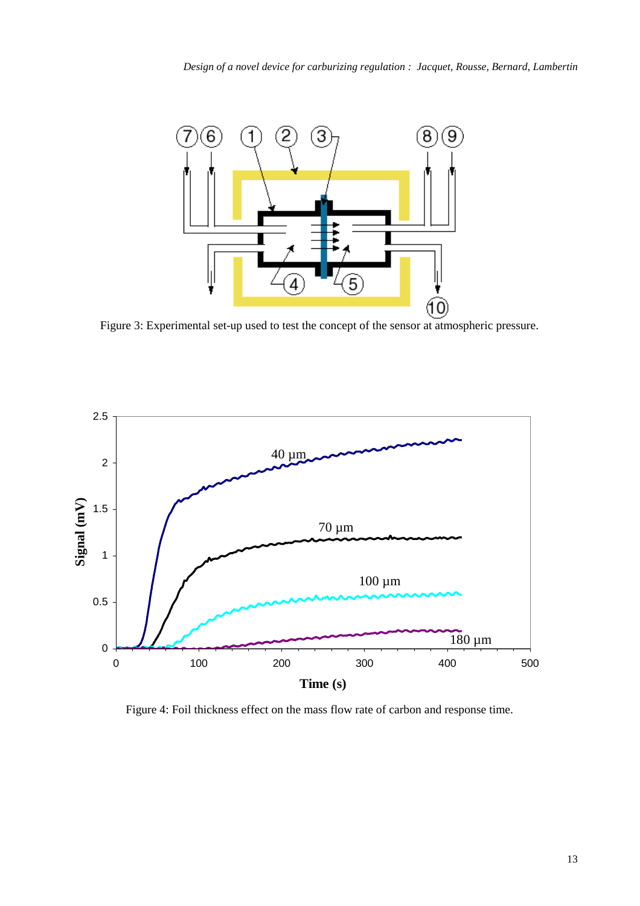

Figure 3: Experimental set-up used to test the concept of the sensor at atmospheric pressure.



Figure 4: Foil thickness effect on the mass flow rate of carbon and response time.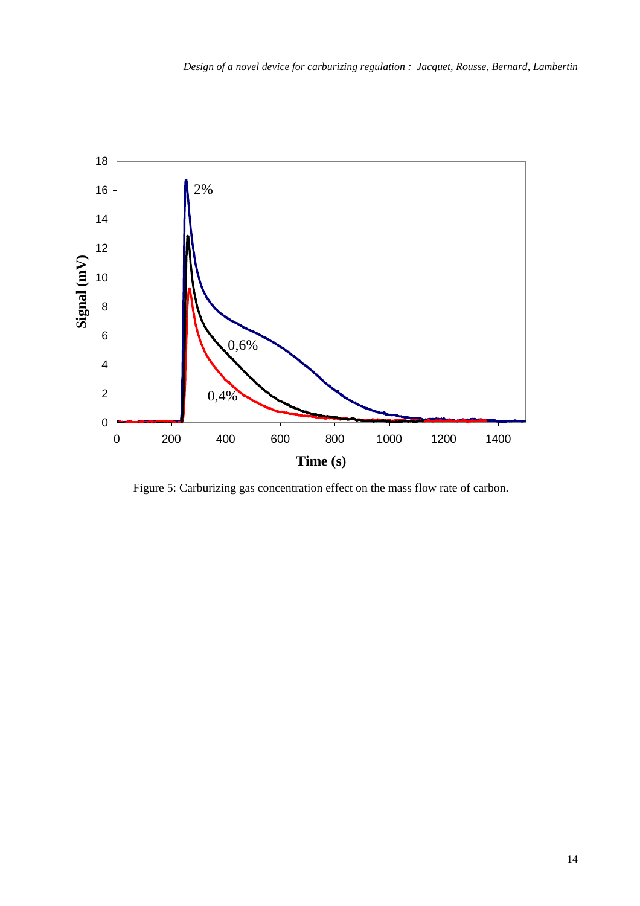

Figure 5: Carburizing gas concentration effect on the mass flow rate of carbon.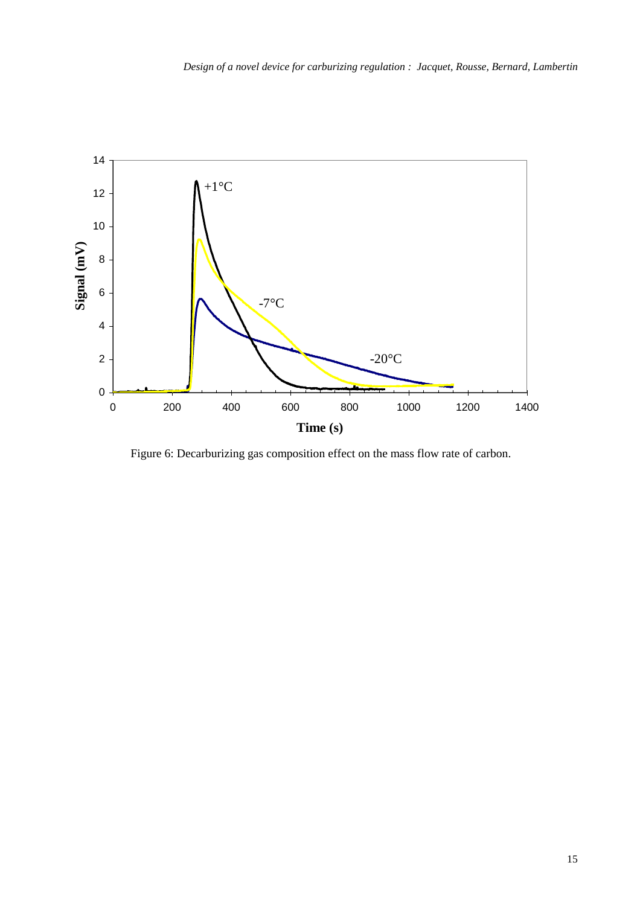

Figure 6: Decarburizing gas composition effect on the mass flow rate of carbon.